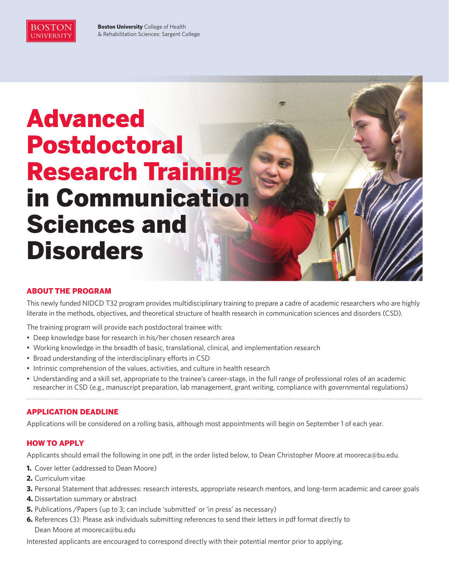

**Boston University** College of Health & Rehabilitation Sciences: Sargent College

# Advanced Postdoctoral Research Training in Communication Sciences and **Disorders**

# ABOUT THE PROGRAM

This newly funded NIDCD T32 program provides multidisciplinary training to prepare a cadre of academic researchers who are highly literate in the methods, objectives, and theoretical structure of health research in communication sciences and disorders (CSD).

The training program will provide each postdoctoral trainee with:

- Deep knowledge base for research in his/her chosen research area
- Working knowledge in the breadth of basic, translational, clinical, and implementation research
- Broad understanding of the interdisciplinary efforts in CSD
- Intrinsic comprehension of the values, activities, and culture in health research
- Understanding and a skill set, appropriate to the trainee's career-stage, in the full range of professional roles of an academic researcher in CSD (e.g., manuscript preparation, lab management, grant writing, compliance with governmental regulations)

# APPLICATION DEADLINE

Applications will be considered on a rolling basis, although most appointments will begin on September 1 of each year.

# HOW TO APPLY

Applicants should email the following in one pdf, in the order listed below, to Dean Christopher Moore at mooreca@bu.edu.

- **1.** Cover letter (addressed to Dean Moore)
- **2.** Curriculum vitae
- **3.** Personal Statement that addresses: research interests, appropriate research mentors, and long-term academic and career goals
- **4.** Dissertation summary or abstract
- **5.** Publications / Papers (up to 3; can include 'submitted' or 'in press' as necessary)
- **6.** References (3): Please ask individuals submitting references to send their letters in pdf format directly to Dean Moore at mooreca@bu.edu

Interested applicants are encouraged to correspond directly with their potential mentor prior to applying.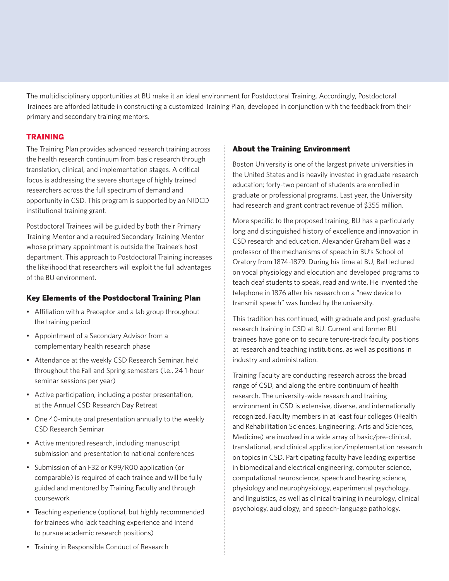The multidisciplinary opportunities at BU make it an ideal environment for Postdoctoral Training. Accordingly, Postdoctoral Trainees are afforded latitude in constructing a customized Training Plan, developed in conjunction with the feedback from their primary and secondary training mentors.

# **TRAINING**

The Training Plan provides advanced research training across the health research continuum from basic research through translation, clinical, and implementation stages. A critical focus is addressing the severe shortage of highly trained researchers across the full spectrum of demand and opportunity in CSD. This program is supported by an NIDCD institutional training grant.

Postdoctoral Trainees will be guided by both their Primary Training Mentor and a required Secondary Training Mentor whose primary appointment is outside the Trainee's host department. This approach to Postdoctoral Training increases the likelihood that researchers will exploit the full advantages of the BU environment.

# Key Elements of the Postdoctoral Training Plan

- Affiliation with a Preceptor and a lab group throughout the training period
- Appointment of a Secondary Advisor from a complementary health research phase
- Attendance at the weekly CSD Research Seminar, held throughout the Fall and Spring semesters (i.e., 24 1-hour seminar sessions per year)
- Active participation, including a poster presentation, at the Annual CSD Research Day Retreat
- One 40-minute oral presentation annually to the weekly CSD Research Seminar
- Active mentored research, including manuscript submission and presentation to national conferences
- Submission of an F32 or K99/R00 application (or comparable) is required of each trainee and will be fully guided and mentored by Training Faculty and through coursework
- Teaching experience (optional, but highly recommended for trainees who lack teaching experience and intend to pursue academic research positions)

# About the Training Environment

Boston University is one of the largest private universities in the United States and is heavily invested in graduate research education; forty-two percent of students are enrolled in graduate or professional programs. Last year, the University had research and grant contract revenue of \$355 million.

More specific to the proposed training, BU has a particularly long and distinguished history of excellence and innovation in CSD research and education. Alexander Graham Bell was a professor of the mechanisms of speech in BU's School of Oratory from 1874-1879. During his time at BU, Bell lectured on vocal physiology and elocution and developed programs to teach deaf students to speak, read and write. He invented the telephone in 1876 after his research on a "new device to transmit speech" was funded by the university.

This tradition has continued, with graduate and post-graduate research training in CSD at BU. Current and former BU trainees have gone on to secure tenure-track faculty positions at research and teaching institutions, as well as positions in industry and administration.

Training Faculty are conducting research across the broad range of CSD, and along the entire continuum of health research. The university-wide research and training environment in CSD is extensive, diverse, and internationally recognized. Faculty members in at least four colleges (Health and Rehabilitation Sciences, Engineering, Arts and Sciences, Medicine) are involved in a wide array of basic/pre-clinical, translational, and clinical application/implementation research on topics in CSD. Participating faculty have leading expertise in biomedical and electrical engineering, computer science, computational neuroscience, speech and hearing science, physiology and neurophysiology, experimental psychology, and linguistics, as well as clinical training in neurology, clinical psychology, audiology, and speech-language pathology.

• Training in Responsible Conduct of Research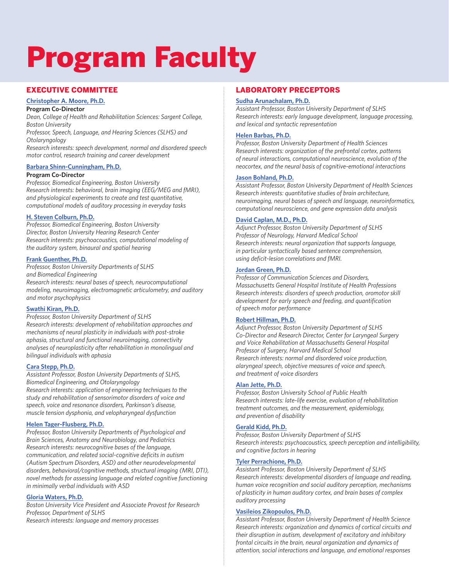# Program Faculty

# EXECUTIVE COMMITTEE

# **[Christopher A. Moore, Ph.D.](http://www.bu.edu/sargent/profile/christopher-a-moore-ba-ms-phd/)**

#### **Program Co-Director**

*Dean, College of Health and Rehabilitation Sciences: Sargent College, Boston University*

*Professor, Speech, Language, and Hearing Sciences (SLHS) and Otolaryngology*

*Research interests: speech development, normal and disordered speech motor control, research training and career development*

#### **[Barbara Shinn-Cunningham, Ph.D.](http://cns.bu.edu/~shinn/ANL/)**

#### **Program Co-Director**

*Professor, Biomedical Engineering, Boston University Research interests: behavioral, brain imaging (EEG/MEG and fMRI), and physiological experiments to create and test quantitative, computational models of auditory processing in everyday tasks*

#### **[H. Steven Colburn, Ph.D.](http://www.bu.edu/binaural/)**

*Professor, Biomedical Engineering, Boston University Director, Boston University Hearing Research Center Research interests: psychoacoustics, computational modeling of the auditory system, binaural and spatial hearing* 

#### **[Frank Guenther, Ph.D.](http://bu.edu/speechlab/)**

*Professor, Boston University Departments of SLHS and Biomedical Engineering Research interests: neural bases of speech, neurocomputational modeling, neuroimaging, electromagnetic articulometry, and auditory and motor psychophysics*

#### **[Swathi Kiran, Ph.D.](http://bu.edu/aphasiaresearch/)**

*Professor, Boston University Department of SLHS Research interests: development of rehabilitation approaches and mechanisms of neural plasticity in individuals with post-stroke aphasia, structural and functional neuroimaging, connectivity analyses of neuroplasticity after rehabilitation in monolingual and bilingual individuals with aphasia*

#### **[Cara Stepp, Ph.D.](http://sites.bu.edu/stepplab/)**

*Assistant Professor, Boston University Departments of SLHS, Biomedical Engineering, and Otolaryngology Research interests: application of engineering techniques to the study and rehabilitation of sensorimotor disorders of voice and speech, voice and resonance disorders, Parkinson's disease, muscle tension dysphonia, and velopharyngeal dysfunction*

#### **[Helen Tager-Flusberg, Ph.D.](http://bu.edu/autism/)**

*Professor, Boston University Departments of Psychological and Brain Sciences, Anatomy and Neurobiology, and Pediatrics Research interests: neurocognitive bases of the language, communication, and related social-cognitive deficits in autism (Autism Spectrum Disorders, ASD) and other neurodevelopmental disorders, behavioral/cognitive methods, structural imaging (MRI, DTI), novel methods for assessing language and related cognitive functioning in minimally verbal individuals with ASD* 

#### **[Gloria Waters, Ph.D.](http://www.bu.edu/provost/about/administration/gloria-waters/)**

*Boston University Vice President and Associate Provost for Research Professor, Department of SLHS Research interests: language and memory processes*

### LABORATORY PRECEPTORS

#### **[Sudha Arunachalam, Ph.D.](http://bu.edu/childlanguage/)**

*Assistant Professor, Boston University Department of SLHS Research interests: early language development, language processing, and lexical and syntactic representation*

#### **[Helen Barbas, Ph.D.](http://bu.edu/neural/)**

*Professor, Boston University Department of Health Sciences Research interests: organization of the prefrontal cortex, patterns of neural interactions, computational neuroscience, evolution of the neocortex, and the neural basis of cognitive-emotional interactions*

#### **[Jason Bohland, Ph.D.](http://qnl.bu.edu/)**

*Assistant Professor, Boston University Department of Health Sciences Research interests: quantitative studies of brain architecture, neuroimaging, neural bases of speech and language, neuroinformatics, computational neuroscience, and gene expression data analysis*

#### **[David Caplan, M.D., Ph.D.](http://massgeneral.org/neurology/researcher_profiles/caplan_david.aspx)**

*Adjunct Professor, Boston University Department of SLHS Professor of Neurology, Harvard Medical School Research interests: neural organization that supports language, in particular syntactically based sentence comprehension, using deficit-lesion correlations and fMRI.*

#### **[Jordan Green, Ph.D.](http://www.mghihp.edu/sfdl/)**

*Professor of Communication Sciences and Disorders, Massachusetts General Hospital Institute of Health Professions Research interests: disorders of speech production, oromotor skill development for early speech and feeding, and quantification of speech motor performance*

#### **[Robert Hillman, Ph.D.](http://www.massgeneral.org/voicecenter/)**

*Adjunct Professor, Boston University Department of SLHS Co-Director and Research Director, Center for Laryngeal Surgery and Voice Rehabilitation at Massachusetts General Hospital Professor of Surgery, Harvard Medical School Research interests: normal and disordered voice production, alaryngeal speech, objective measures of voice and speech, and treatment of voice disorders*

#### **[Alan Jette, Ph.D.](http://bu.edu/sph/about/school-wide-centers/health-and-disability-research-institute/)**

*Professor, Boston University School of Public Health Research interests: late-life exercise, evaluation of rehabilitation treatment outcomes, and the measurement, epidemiology, and prevention of disability*

#### **[Gerald Kidd, Ph.D.](http://bu.edu/hrc/)**

*Professor, Boston University Department of SLHS Research interests: psychoacoustics, speech perception and intelligibility, and cognitive factors in hearing*

#### **[Tyler Perrachione, Ph.D.](http://sites.bu.edu/cnrlab/)**

*Assistant Professor, Boston University Department of SLHS Research interests: developmental disorders of language and reading, human voice recognition and social auditory perception, mechanisms of plasticity in human auditory cortex, and brain bases of complex auditory processing*

#### **[Vasileios Zikopoulos, Ph.D.](http://bu.edu/sargent/profile/vasileios-zikopoulos-ph-d/)**

*Assistant Professor, Boston University Department of Health Science Research interests: organization and dynamics of cortical circuits and their disruption in autism, development of excitatory and inhibitory frontal circuits in the brain, neural organization and dynamics of attention, social interactions and language, and emotional responses*